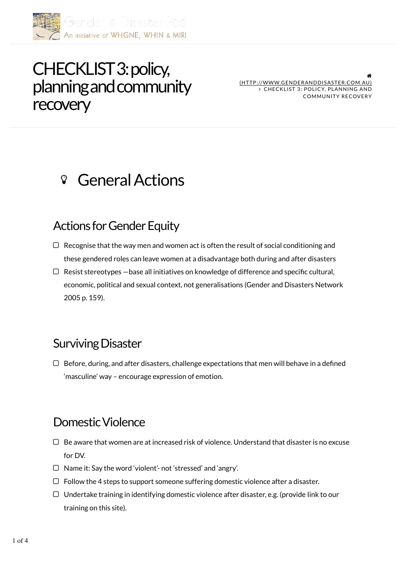

# CHECKLIST 3: policy, planning and community **recovery**

" (HTTP://WWW.GENDERANDDISASTER.COM.AU) CHECKLIST 3: POLICY, PLANNING AND COMMUNITY RECOVERY

## General Actions

#### Actions for Gender Equity

- $\Box$  Recognise that the way men and women act is often the result of social conditioning and these gendered roles can leave women at a disadvantage both during and after disasters
- $\Box$  Resist stereotypes base all initiatives on knowledge of difference and specific cultural, economic, political and sexual context, not generalisations (Gender and Disasters Network 2005 p. 159).

#### Surviving Disaster

 $\Box$  Before, during, and after disasters, challenge expectations that men will behave in a defined 'masculine' way – encourage expression of emotion.

#### Domestic Violence

- $\Box$  Be aware that women are at increased risk of violence. Understand that disaster is no excuse for DV.
- □ Name it: Say the word 'violent'- not 'stressed' and 'angry'.
- $\Box$  Follow the 4 steps to support someone suffering domestic violence after a disaster.
- $\Box$  Undertake training in identifying domestic violence after disaster, e.g. (provide link to our training on this site).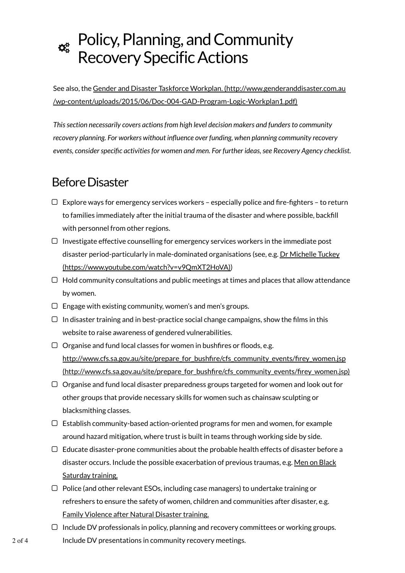# $\boldsymbol{\alpha}_{s}^{s}$  Policy, Planning, and Community Recovery Specific Actions

See also, the Gender and Disaster Taskforce Workplan. (http://www.genderanddisaster.com.au /wp-content/uploads/2015/06/Doc-004-GAD-Program-Logic-Workplan1.pdf)

*This section necessarily covers actions from high level decision makers and funders to community recovery planning. For workers without influence over funding, when planning community recovery events, consider specific activities for women and men. For further ideas, see Recovery Agency checklist.*

## Before Disaster

- $\Box$  Explore ways for emergency services workers especially police and fire-fighters to return to families immediately after the initial trauma of the disaster and where possible, backfill with personnel from other regions.
- $\Box$  Investigate effective counselling for emergency services workers in the immediate post disaster period-particularly in male-dominated organisations (see, e.g. Dr Michelle Tuckey (https://www.youtube.com/watch?v=v9QmXT2HoVA))
- $\Box$  Hold community consultations and public meetings at times and places that allow attendance by women.
- $\Box$  Engage with existing community, women's and men's groups.
- $\Box$  In disaster training and in best-practice social change campaigns, show the films in this website to raise awareness of gendered vulnerabilities.
- $\Box$  Organise and fund local classes for women in bushfires or floods, e.g. http://www.cfs.sa.gov.au/site/prepare\_for\_bushfire/cfs\_community\_events/firey\_women.jsp (http://www.cfs.sa.gov.au/site/prepare\_for\_bushfire/cfs\_community\_events/firey\_women.jsp)
- $\Box$  Organise and fund local disaster preparedness groups targeted for women and look out for other groups that provide necessary skills for women such as chainsaw sculpting or blacksmithing classes.
- $\Box$  Establish community-based action-oriented programs for men and women, for example around hazard mitigation, where trust is built in teams through working side by side.
- $\Box$  Educate disaster-prone communities about the probable health effects of disaster before a disaster occurs. Include the possible exacerbation of previous traumas, e.g. Men on Black Saturday training.
- $\Box$  Police (and other relevant ESOs, including case managers) to undertake training or refreshers to ensure the safety of women, children and communities after disaster, e.g. Family Violence after Natural Disaster training.
- $\Box$  Include DV professionals in policy, planning and recovery committees or working groups. Include DV presentations in community recovery meetings.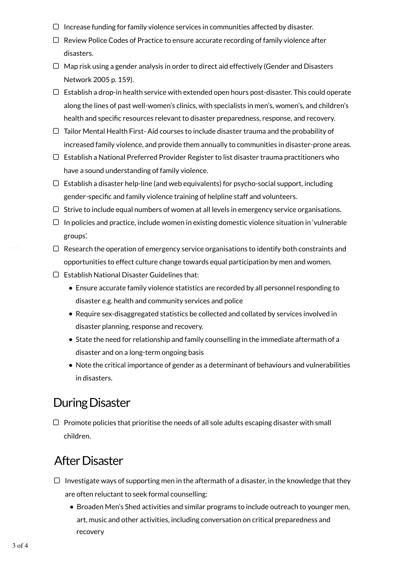- $\Box$  Increase funding for family violence services in communities affected by disaster.
- $\Box$  Review Police Codes of Practice to ensure accurate recording of family violence after disasters.
- $\Box$  Map risk using a gender analysis in order to direct aid effectively (Gender and Disasters Network 2005 p. 159).
- $\Box$  Establish a drop-in health service with extended open hours post-disaster. This could operate along the lines of past well-women's clinics, with specialists in men's, women's, and children's health and specific resources relevant to disaster preparedness, response, and recovery.
- $\Box$  Tailor Mental Health First-Aid courses to include disaster trauma and the probability of increased family violence, and provide them annually to communities in disaster-prone areas.
- $\Box$  Establish a National Preferred Provider Register to list disaster trauma practitioners who have a sound understanding of family violence.
- $\Box$  Establish a disaster help-line (and web equivalents) for psycho-social support, including gender-specific and family violence training of helpline staff and volunteers.
- $\Box$  Strive to include equal numbers of women at all levels in emergency service organisations.
- $\Box$  In policies and practice, include women in existing domestic violence situation in 'vulnerable groups'.
- $\Box$  Research the operation of emergency service organisations to identify both constraints and opportunities to effect culture change towards equal participation by men and women.
- $\Box$  Establish National Disaster Guidelines that:
	- Ensure accurate family violence statistics are recorded by all personnel responding to disaster e.g. health and community services and police
	- Require sex-disaggregated statistics be collected and collated by services involved in disaster planning, response and recovery.
	- State the need for relationship and family counselling in the immediate aftermath of a disaster and on a long-term ongoing basis
	- Note the critical importance of gender as a determinant of behaviours and vulnerabilities in disasters.

## During Disaster

 $\Box$  Promote policies that prioritise the needs of all sole adults escaping disaster with small children.

## After Disaster

- $\Box$  Investigate ways of supporting men in the aftermath of a disaster, in the knowledge that they are often reluctant to seek formal counselling:
	- **Broaden Men's Shed activities and similar programs to include outreach to younger men,** art, music and other activities, including conversation on critical preparedness and recovery